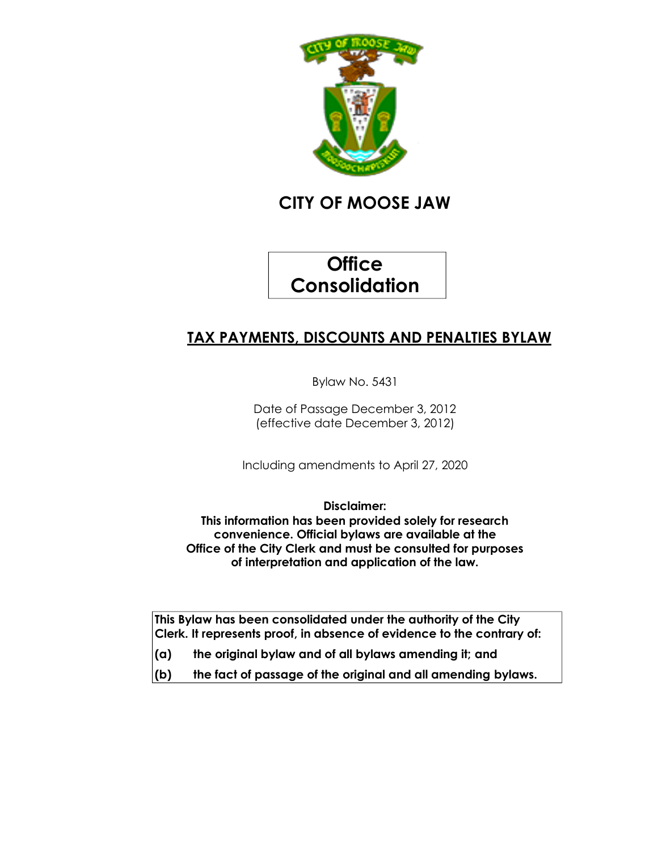

# **CITY OF MOOSE JAW**

# **Office Consolidation**

# **TAX PAYMENTS, DISCOUNTS AND PENALTIES BYLAW**

Bylaw No. 5431

Date of Passage December 3, 2012 (effective date December 3, 2012)

Including amendments to April 27, 2020

**Disclaimer:**

**This information has been provided solely for research convenience. Official bylaws are available at the Office of the City Clerk and must be consulted for purposes of interpretation and application of the law.**

**This Bylaw has been consolidated under the authority of the City Clerk. It represents proof, in absence of evidence to the contrary of:**

- **(a) the original bylaw and of all bylaws amending it; and**
- **(b) the fact of passage of the original and all amending bylaws.**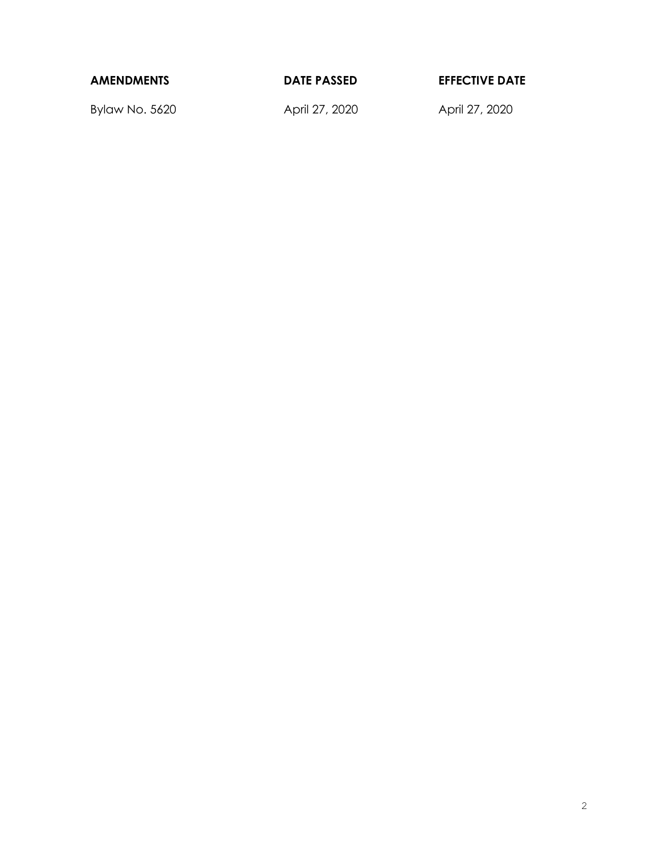| <b>AMENDMENTS</b> | <b>DATE PASSED</b> | <b>EFFECTIVE DATE</b> |
|-------------------|--------------------|-----------------------|
|                   |                    |                       |

Bylaw No. 5620 April 27, 2020 April 27, 2020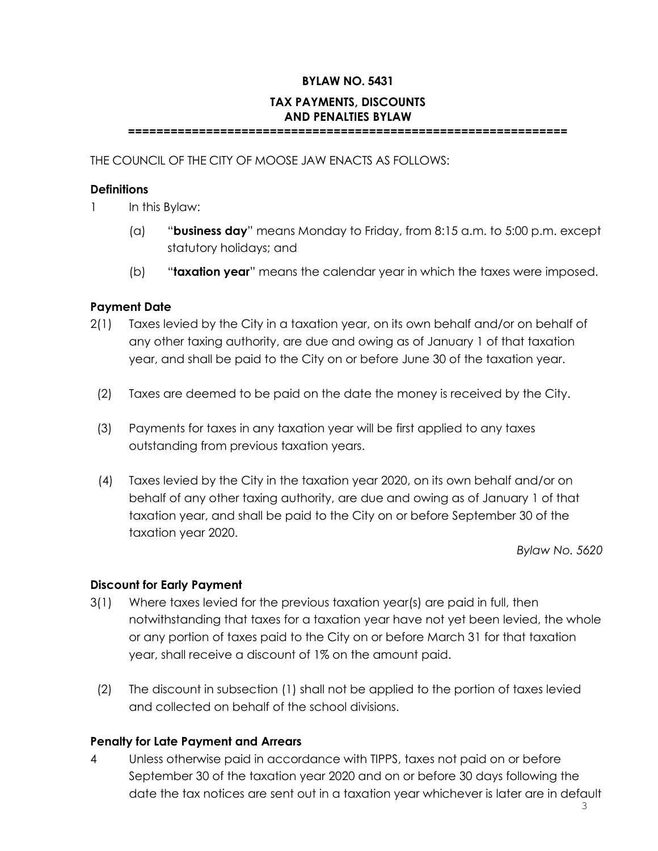### **BYLAW NO. 5431**

## **TAX PAYMENTS, DISCOUNTS AND PENALTIES BYLAW**

**==============================================================**

THE COUNCIL OF THE CITY OF MOOSE JAW ENACTS AS FOLLOWS:

#### **Definitions**

1 In this Bylaw:

- (a) "**business day**" means Monday to Friday, from 8:15 a.m. to 5:00 p.m. except statutory holidays; and
- (b) "**taxation year**" means the calendar year in which the taxes were imposed.

#### **Payment Date**

- 2(1) Taxes levied by the City in a taxation year, on its own behalf and/or on behalf of any other taxing authority, are due and owing as of January 1 of that taxation year, and shall be paid to the City on or before June 30 of the taxation year.
	- (2) Taxes are deemed to be paid on the date the money is received by the City.
	- (3) Payments for taxes in any taxation year will be first applied to any taxes outstanding from previous taxation years.
	- (4) Taxes levied by the City in the taxation year 2020, on its own behalf and/or on behalf of any other taxing authority, are due and owing as of January 1 of that taxation year, and shall be paid to the City on or before September 30 of the taxation year 2020.

*Bylaw No. 5620*

#### **Discount for Early Payment**

- 3(1) Where taxes levied for the previous taxation year(s) are paid in full, then notwithstanding that taxes for a taxation year have not yet been levied, the whole or any portion of taxes paid to the City on or before March 31 for that taxation year, shall receive a discount of 1% on the amount paid.
	- (2) The discount in subsection (1) shall not be applied to the portion of taxes levied and collected on behalf of the school divisions.

### **Penalty for Late Payment and Arrears**

4 Unless otherwise paid in accordance with TIPPS, taxes not paid on or before September 30 of the taxation year 2020 and on or before 30 days following the date the tax notices are sent out in a taxation year whichever is later are in default